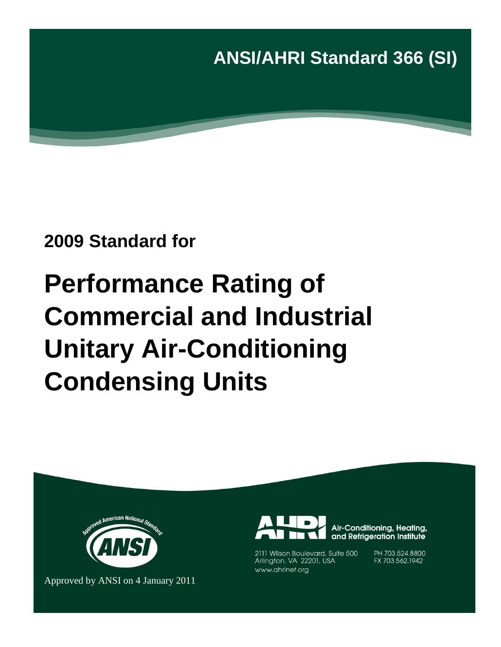**ANSI/AHRI Standard 366 (SI)**

# **2009 Standard for**

# **Performance Rating of Commercial and Industrial Unitary Air-Conditioning Condensing Units**



Approved by ANSI on 4 January 2011



Air-Conditioning, Heating, and Refrigeration Institute

2111 Wilson Boulevard, Suite 500 Arlington, VA 22201, USA www.ahrinet.org

PH 703.524.8800 FX 703.562.1942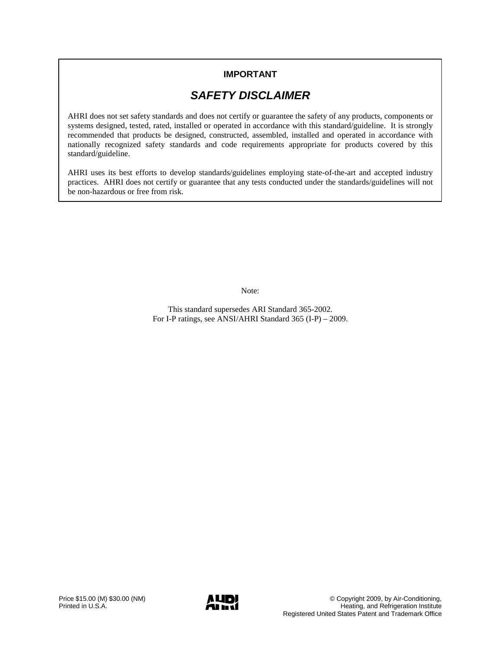## **IMPORTANT**

## *SAFETY DISCLAIMER*

AHRI does not set safety standards and does not certify or guarantee the safety of any products, components or systems designed, tested, rated, installed or operated in accordance with this standard/guideline. It is strongly recommended that products be designed, constructed, assembled, installed and operated in accordance with nationally recognized safety standards and code requirements appropriate for products covered by this standard/guideline.

AHRI uses its best efforts to develop standards/guidelines employing state-of-the-art and accepted industry practices. AHRI does not certify or guarantee that any tests conducted under the standards/guidelines will not be non-hazardous or free from risk.

Note:

This standard supersedes ARI Standard 365-2002. For I-P ratings, see ANSI/AHRI Standard 365 (I-P) – 2009.

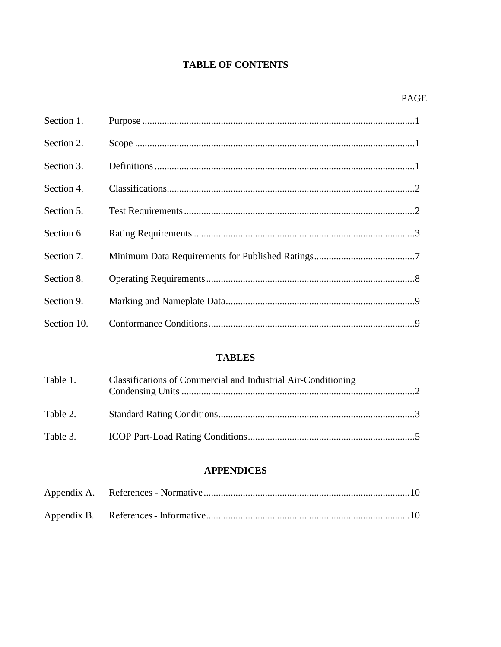## **TABLE OF CONTENTS**

| Section 1.  |  |
|-------------|--|
| Section 2.  |  |
| Section 3.  |  |
| Section 4.  |  |
| Section 5.  |  |
| Section 6.  |  |
| Section 7.  |  |
| Section 8.  |  |
| Section 9.  |  |
| Section 10. |  |

## **TABLES**

| Table 1. | Classifications of Commercial and Industrial Air-Conditioning |  |
|----------|---------------------------------------------------------------|--|
| Table 2. |                                                               |  |
|          |                                                               |  |

## **APPENDICES**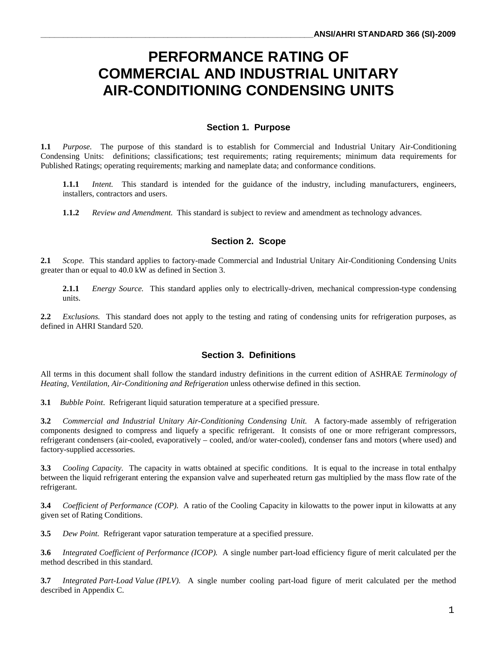# **PERFORMANCE RATING OF COMMERCIAL AND INDUSTRIAL UNITARY AIR-CONDITIONING CONDENSING UNITS**

#### **Section 1. Purpose**

**1.1** *Purpose.* The purpose of this standard is to establish for Commercial and Industrial Unitary Air-Conditioning Condensing Units: definitions; classifications; test requirements; rating requirements; minimum data requirements for Published Ratings; operating requirements; marking and nameplate data; and conformance conditions.

**1.1.1** *Intent.* This standard is intended for the guidance of the industry, including manufacturers, engineers, installers, contractors and users.

**1.1.2** *Review and Amendment.* This standard is subject to review and amendment as technology advances.

#### **Section 2. Scope**

**2.1** *Scope.* This standard applies to factory-made Commercial and Industrial Unitary Air-Conditioning Condensing Units greater than or equal to 40.0 kW as defined in Section 3.

**2.1.1** *Energy Source.* This standard applies only to electrically-driven, mechanical compression-type condensing units.

**2.2** *Exclusions.* This standard does not apply to the testing and rating of condensing units for refrigeration purposes, as defined in AHRI Standard 520.

#### **Section 3. Definitions**

All terms in this document shall follow the standard industry definitions in the current edition of ASHRAE *Terminology of Heating, Ventilation, Air-Conditioning and Refrigeration* unless otherwise defined in this section.

**3.1** *Bubble Point*. Refrigerant liquid saturation temperature at a specified pressure.

**3.2** *Commercial and Industrial Unitary Air-Conditioning Condensing Unit.* A factory-made assembly of refrigeration components designed to compress and liquefy a specific refrigerant. It consists of one or more refrigerant compressors, refrigerant condensers (air-cooled, evaporatively – cooled, and/or water-cooled), condenser fans and motors (where used) and factory-supplied accessories.

**3.3** *Cooling Capacity.* The capacity in watts obtained at specific conditions. It is equal to the increase in total enthalpy between the liquid refrigerant entering the expansion valve and superheated return gas multiplied by the mass flow rate of the refrigerant.

**3.4** *Coefficient of Performance (COP).* A ratio of the Cooling Capacity in kilowatts to the power input in kilowatts at any given set of Rating Conditions.

**3.5** *Dew Point.* Refrigerant vapor saturation temperature at a specified pressure.

**3.6** *Integrated Coefficient of Performance (ICOP).* A single number part-load efficiency figure of merit calculated per the method described in this standard.

**3.7** *Integrated Part-Load Value (IPLV).* A single number cooling part-load figure of merit calculated per the method described in Appendix C.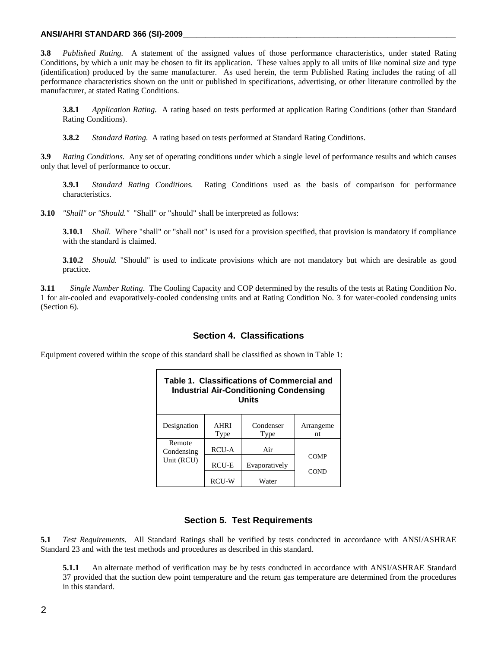#### **ANSI/AHRI STANDARD 366 (SI)-2009\_\_\_\_\_\_\_\_\_\_\_\_\_\_\_\_\_\_\_\_\_\_\_\_\_\_\_\_\_\_\_\_\_\_\_\_\_\_\_\_\_\_\_\_\_\_\_\_\_\_\_\_\_\_\_\_\_\_\_\_**

**3.8** *Published Rating.* A statement of the assigned values of those performance characteristics, under stated Rating Conditions, by which a unit may be chosen to fit its application. These values apply to all units of like nominal size and type (identification) produced by the same manufacturer. As used herein, the term Published Rating includes the rating of all performance characteristics shown on the unit or published in specifications, advertising, or other literature controlled by the manufacturer, at stated Rating Conditions.

**3.8.1** *Application Rating.* A rating based on tests performed at application Rating Conditions (other than Standard Rating Conditions).

**3.8.2** *Standard Rating.* A rating based on tests performed at Standard Rating Conditions.

**3.9** *Rating Conditions.* Any set of operating conditions under which a single level of performance results and which causes only that level of performance to occur.

**3.9.1** *Standard Rating Conditions.* Rating Conditions used as the basis of comparison for performance characteristics.

**3.10** *"Shall" or "Should."* "Shall" or "should" shall be interpreted as follows:

**3.10.1** *Shall.* Where "shall" or "shall not" is used for a provision specified, that provision is mandatory if compliance with the standard is claimed.

**3.10.2** *Should.* "Should" is used to indicate provisions which are not mandatory but which are desirable as good practice.

**3.11** *Single Number Rating*. The Cooling Capacity and COP determined by the results of the tests at Rating Condition No. 1 for air-cooled and evaporatively-cooled condensing units and at Rating Condition No. 3 for water-cooled condensing units (Section 6).

#### **Section 4. Classifications**

Equipment covered within the scope of this standard shall be classified as shown in Table 1:

| Table 1. Classifications of Commercial and<br><b>Industrial Air-Conditioning Condensing</b><br>Units |                     |                   |                 |  |  |  |  |
|------------------------------------------------------------------------------------------------------|---------------------|-------------------|-----------------|--|--|--|--|
| Designation                                                                                          | <b>AHRI</b><br>Type | Condenser<br>Type | Arrangeme<br>nt |  |  |  |  |
| Remote<br>Condensing                                                                                 | <b>RCU-A</b>        | Air               |                 |  |  |  |  |
| Unit (RCU)                                                                                           | RCU-E               | Evaporatively     | COMP            |  |  |  |  |
|                                                                                                      | <b>RCU-W</b>        | Water             | COND            |  |  |  |  |

#### **Section 5. Test Requirements**

**5.1** *Test Requirements.* All Standard Ratings shall be verified by tests conducted in accordance with ANSI/ASHRAE Standard 23 and with the test methods and procedures as described in this standard.

**5.1.1** An alternate method of verification may be by tests conducted in accordance with ANSI/ASHRAE Standard 37 provided that the suction dew point temperature and the return gas temperature are determined from the procedures in this standard.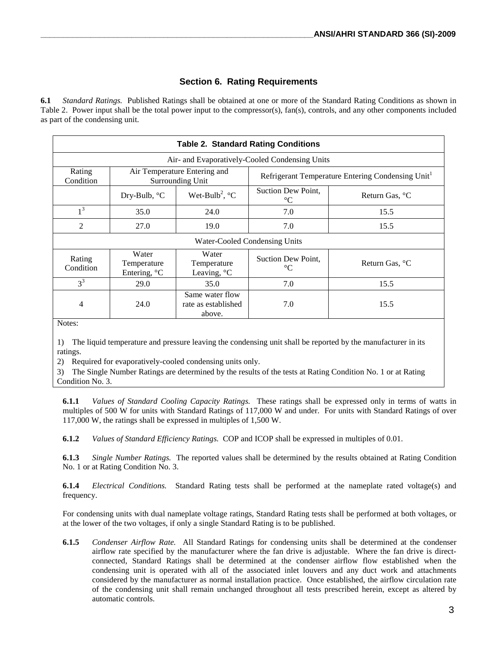#### **Section 6. Rating Requirements**

**6.1** *Standard Ratings.* Published Ratings shall be obtained at one or more of the Standard Rating Conditions as shown in Table 2. Power input shall be the total power input to the compressor(s), fan(s), controls, and any other components included as part of the condensing unit.

|                                                | <b>Table 2. Standard Rating Conditions</b> |                                                  |                                       |                                                  |  |  |  |  |  |
|------------------------------------------------|--------------------------------------------|--------------------------------------------------|---------------------------------------|--------------------------------------------------|--|--|--|--|--|
| Air- and Evaporatively-Cooled Condensing Units |                                            |                                                  |                                       |                                                  |  |  |  |  |  |
| Rating<br>Condition                            |                                            | Air Temperature Entering and<br>Surrounding Unit |                                       | Refrigerant Temperature Entering Condensing Unit |  |  |  |  |  |
|                                                | Dry-Bulb, °C                               | Wet-Bulb <sup>2</sup> , $^{\circ}$ C             | Suction Dew Point,<br>$\rm ^{\circ}C$ | Return Gas, <sup>o</sup> C                       |  |  |  |  |  |
| 1 <sup>3</sup>                                 | 35.0                                       | 24.0                                             | 7.0                                   | 15.5                                             |  |  |  |  |  |
| $\overline{2}$                                 | 27.0                                       | 19.0                                             | 7.0                                   | 15.5                                             |  |  |  |  |  |
|                                                |                                            |                                                  | Water-Cooled Condensing Units         |                                                  |  |  |  |  |  |
| Rating<br>Condition                            | Water<br>Temperature<br>Entering, °C       | Water<br>Temperature<br>Leaving, $\mathrm{C}$    | Suction Dew Point,<br>$\rm ^{\circ}C$ | Return Gas, <sup>o</sup> C                       |  |  |  |  |  |
| $3^3$                                          | 29.0                                       | 35.0                                             | 7.0                                   | 15.5                                             |  |  |  |  |  |
| 4<br>$\sim$ $\sim$                             | 24.0                                       | Same water flow<br>rate as established<br>above. | 7.0                                   | 15.5                                             |  |  |  |  |  |

Notes:

1) The liquid temperature and pressure leaving the condensing unit shall be reported by the manufacturer in its ratings.

2) Required for evaporatively-cooled condensing units only.

3) The Single Number Ratings are determined by the results of the tests at Rating Condition No. 1 or at Rating Condition No. 3.

**6.1.1** *Values of Standard Cooling Capacity Ratings.* These ratings shall be expressed only in terms of watts in multiples of 500 W for units with Standard Ratings of 117,000 W and under. For units with Standard Ratings of over 117,000 W, the ratings shall be expressed in multiples of 1,500 W.

**6.1.2** *Values of Standard Efficiency Ratings.* COP and ICOP shall be expressed in multiples of 0.01.

**6.1.3** *Single Number Ratings.* The reported values shall be determined by the results obtained at Rating Condition No. 1 or at Rating Condition No. 3.

**6.1.4** *Electrical Conditions.* Standard Rating tests shall be performed at the nameplate rated voltage(s) and frequency.

For condensing units with dual nameplate voltage ratings, Standard Rating tests shall be performed at both voltages, or at the lower of the two voltages, if only a single Standard Rating is to be published.

**6.1.5** *Condenser Airflow Rate.* All Standard Ratings for condensing units shall be determined at the condenser airflow rate specified by the manufacturer where the fan drive is adjustable. Where the fan drive is directconnected, Standard Ratings shall be determined at the condenser airflow flow established when the condensing unit is operated with all of the associated inlet louvers and any duct work and attachments considered by the manufacturer as normal installation practice. Once established, the airflow circulation rate of the condensing unit shall remain unchanged throughout all tests prescribed herein, except as altered by automatic controls.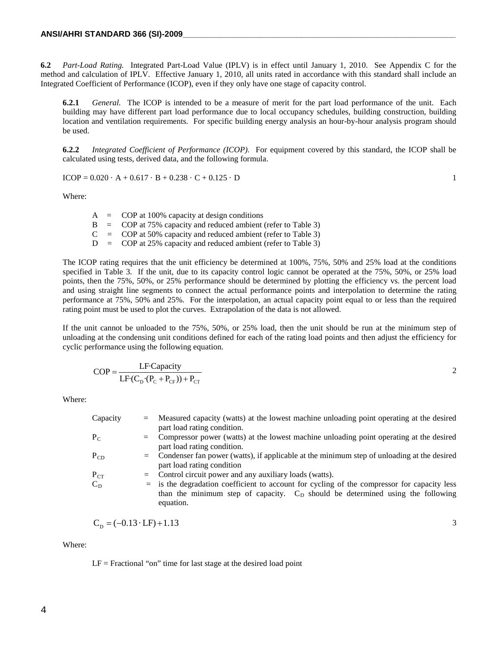**6.2** *Part-Load Rating.* Integrated Part-Load Value (IPLV) is in effect until January 1, 2010. See Appendix C for the method and calculation of IPLV. Effective January 1, 2010, all units rated in accordance with this standard shall include an Integrated Coefficient of Performance (ICOP), even if they only have one stage of capacity control.

**6.2.1** *General.* The ICOP is intended to be a measure of merit for the part load performance of the unit. Each building may have different part load performance due to local occupancy schedules, building construction, building location and ventilation requirements. For specific building energy analysis an hour-by-hour analysis program should be used.

**6.2.2** *Integrated Coefficient of Performance (ICOP).* For equipment covered by this standard, the ICOP shall be calculated using tests, derived data, and the following formula.

$$
ICOP = 0.020 \cdot A + 0.617 \cdot B + 0.238 \cdot C + 0.125 \cdot D
$$

Where:

|  | $A = COP$ at 100% capacity at design conditions                              |
|--|------------------------------------------------------------------------------|
|  | $\rm{B}$ = $\rm{COP}$ at 75% capacity and reduced ambient (refer to Table 3) |
|  | $C = COP$ at 50% capacity and reduced ambient (refer to Table 3)             |
|  | $D = COP$ at 25% capacity and reduced ambient (refer to Table 3)             |

The ICOP rating requires that the unit efficiency be determined at 100%, 75%, 50% and 25% load at the conditions specified in Table 3. If the unit, due to its capacity control logic cannot be operated at the 75%, 50%, or 25% load points, then the 75%, 50%, or 25% performance should be determined by plotting the efficiency vs. the percent load and using straight line segments to connect the actual performance points and interpolation to determine the rating performance at 75%, 50% and 25%. For the interpolation, an actual capacity point equal to or less than the required rating point must be used to plot the curves. Extrapolation of the data is not allowed.

If the unit cannot be unloaded to the 75%, 50%, or 25% load, then the unit should be run at the minimum step of unloading at the condensing unit conditions defined for each of the rating load points and then adjust the efficiency for cyclic performance using the following equation.

$$
COP = \frac{LF \cdot Capacity}{LF \cdot (C_{D} \cdot (P_C + P_{CF})) + P_{CT}}
$$

Where:

| Capacity | $=$ | Measured capacity (watts) at the lowest machine unloading point operating at the desired<br>part load rating condition.                                                                        |
|----------|-----|------------------------------------------------------------------------------------------------------------------------------------------------------------------------------------------------|
| $P_C$    |     | = Compressor power (watts) at the lowest machine unloading point operating at the desired<br>part load rating condition.                                                                       |
| $P_{CD}$ |     | $=$ Condenser fan power (watts), if applicable at the minimum step of unloading at the desired<br>part load rating condition                                                                   |
| $P_{CT}$ |     | $=$ Control circuit power and any auxiliary loads (watts).                                                                                                                                     |
| $C_D$    |     | $=$ is the degradation coefficient to account for cycling of the compressor for capacity less<br>than the minimum step of capacity. $CD$ should be determined using the following<br>equation. |

$$
C_{\rm p} = (-0.13 \cdot \text{LF}) + 1.13 \tag{3}
$$

Where:

 $LF = Fractional$  "on" time for last stage at the desired load point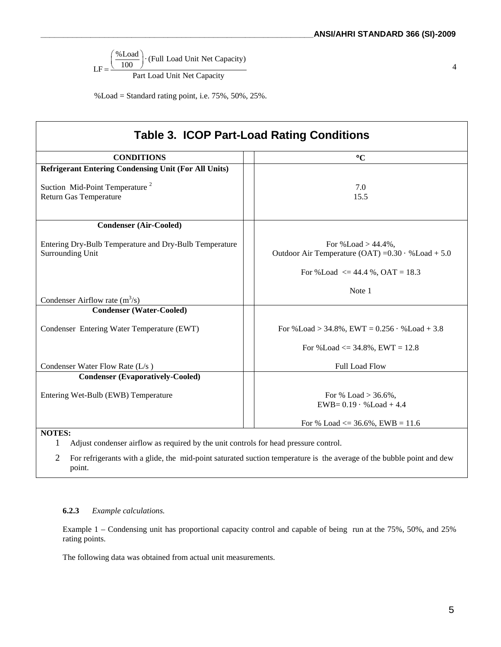$$
LF = \frac{\left(\frac{\% \text{Load}}{100}\right) \cdot (\text{Full Load Unit Net Capacity})}{\text{Part Load Unit Net Capacity}}
$$

 $\%$ Load = Standard rating point, i.e. 75%, 50%, 25%.

|                                                                            | <b>Table 3. ICOP Part-Load Rating Conditions</b>                                        |
|----------------------------------------------------------------------------|-----------------------------------------------------------------------------------------|
| <b>CONDITIONS</b>                                                          | $\rm ^{\circ}C$                                                                         |
| <b>Refrigerant Entering Condensing Unit (For All Units)</b>                |                                                                                         |
| Suction Mid-Point Temperature <sup>2</sup><br>Return Gas Temperature       | 7.0<br>15.5                                                                             |
| <b>Condenser (Air-Cooled)</b>                                              |                                                                                         |
| Entering Dry-Bulb Temperature and Dry-Bulb Temperature<br>Surrounding Unit | For $\%$ Load $> 44.4\%$ ,<br>Outdoor Air Temperature (OAT) = $0.30 \cdot %$ Load + 5.0 |
|                                                                            | For %Load $\leq$ 44.4 %, OAT = 18.3                                                     |
| Condenser Airflow rate $(m^3/s)$                                           | Note 1                                                                                  |
| <b>Condenser (Water-Cooled)</b>                                            |                                                                                         |
| Condenser Entering Water Temperature (EWT)                                 | For %Load > 34.8%, EWT = $0.256 \cdot %$ Load + 3.8                                     |
|                                                                            | For %Load $\leq$ 34.8%, EWT = 12.8                                                      |
| Condenser Water Flow Rate (L/s)                                            | <b>Full Load Flow</b>                                                                   |
| <b>Condenser (Evaporatively-Cooled)</b>                                    |                                                                                         |
| Entering Wet-Bulb (EWB) Temperature                                        | For % Load $> 36.6\%$ .<br>$EWB = 0.19 \cdot %$ Load + 4.4                              |
|                                                                            | For % Load $\leq$ 36.6%, EWB = 11.6                                                     |

**NOTES:**

1 Adjust condenser airflow as required by the unit controls for head pressure control.

2 For refrigerants with a glide, the mid-point saturated suction temperature is the average of the bubble point and dew point.

#### **6.2.3** *Example calculations.*

Example 1 – Condensing unit has proportional capacity control and capable of being run at the 75%, 50%, and 25% rating points.

The following data was obtained from actual unit measurements.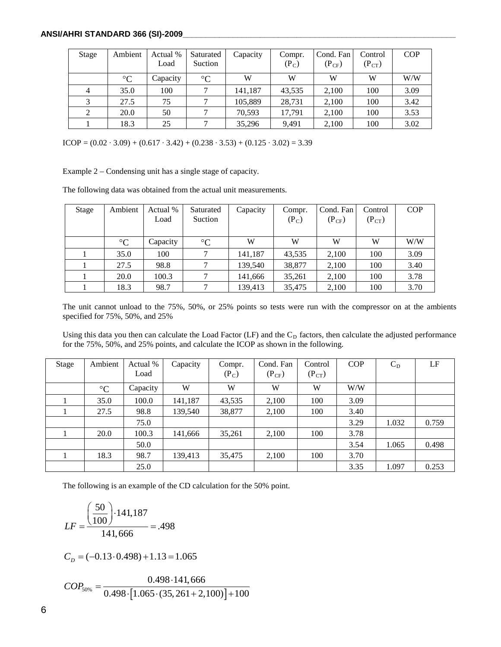#### **ANSI/AHRI STANDARD 366 (SI)-2009\_\_\_\_\_\_\_\_\_\_\_\_\_\_\_\_\_\_\_\_\_\_\_\_\_\_\_\_\_\_\_\_\_\_\_\_\_\_\_\_\_\_\_\_\_\_\_\_\_\_\_\_\_\_\_\_\_\_\_\_**

| Stage | Ambient         | Actual %<br>Load | Saturated<br>Suction | Capacity | Compr.<br>$(P_C)$ | Cond. Fan<br>$(P_{CF})$ | Control<br>$(P_{CT})$ | <b>COP</b> |
|-------|-----------------|------------------|----------------------|----------|-------------------|-------------------------|-----------------------|------------|
|       | $\rm ^{\circ}C$ | Capacity         | $\rm ^{\circ}C$      | W        | W                 | W                       | W                     | W/W        |
|       | 35.0            | 100              |                      | 141,187  | 43,535            | 2,100                   | 100                   | 3.09       |
| 3     | 27.5            | 75               |                      | 105,889  | 28,731            | 2,100                   | 100                   | 3.42       |
| 2     | 20.0            | 50               |                      | 70.593   | 17,791            | 2,100                   | 100                   | 3.53       |
|       | 18.3            | 25               | $\mathbf{r}$         | 35,296   | 9,491             | 2,100                   | 100                   | 3.02       |

ICOP =  $(0.02 \cdot 3.09) + (0.617 \cdot 3.42) + (0.238 \cdot 3.53) + (0.125 \cdot 3.02) = 3.39$ 

Example 2 – Condensing unit has a single stage of capacity.

The following data was obtained from the actual unit measurements.

| Stage | Ambient         | Actual %<br>Load | Saturated<br>Suction | Capacity | Compr.<br>$(P_C)$ | Cond. Fan<br>$(P_{CF})$ | Control<br>$(P_{CT})$ | <b>COP</b> |
|-------|-----------------|------------------|----------------------|----------|-------------------|-------------------------|-----------------------|------------|
|       | $\rm ^{\circ}C$ | Capacity         | $\rm ^{\circ}C$      | W        | W                 | W                       | W                     | W/W        |
|       | 35.0            | 100              |                      | 141,187  | 43,535            | 2,100                   | 100                   | 3.09       |
|       | 27.5            | 98.8             |                      | 139,540  | 38,877            | 2,100                   | 100                   | 3.40       |
|       | 20.0            | 100.3            |                      | 141,666  | 35,261            | 2,100                   | 100                   | 3.78       |
|       | 18.3            | 98.7             |                      | 139,413  | 35,475            | 2,100                   | 100                   | 3.70       |

The unit cannot unload to the 75%, 50%, or 25% points so tests were run with the compressor on at the ambients specified for 75%, 50%, and 25%

Using this data you then can calculate the Load Factor (LF) and the C<sub>D</sub> factors, then calculate the adjusted performance for the 75%, 50%, and 25% points, and calculate the ICOP as shown in the following.

| Stage | Ambient         | Actual % | Capacity | Compr.  | Cond. Fan  | Control    | <b>COP</b> | $C_D$ | LF    |
|-------|-----------------|----------|----------|---------|------------|------------|------------|-------|-------|
|       |                 | Load     |          | $(P_C)$ | $(P_{CF})$ | $(P_{CT})$ |            |       |       |
|       | $\rm ^{\circ}C$ | Capacity | W        | W       | W          | W          | W/W        |       |       |
|       | 35.0            | 100.0    | 141,187  | 43,535  | 2,100      | 100        | 3.09       |       |       |
|       | 27.5            | 98.8     | 139,540  | 38,877  | 2,100      | 100        | 3.40       |       |       |
|       |                 | 75.0     |          |         |            |            | 3.29       | 1.032 | 0.759 |
|       | 20.0            | 100.3    | 141,666  | 35,261  | 2,100      | 100        | 3.78       |       |       |
|       |                 | 50.0     |          |         |            |            | 3.54       | 1.065 | 0.498 |
|       | 18.3            | 98.7     | 139,413  | 35,475  | 2,100      | 100        | 3.70       |       |       |
|       |                 | 25.0     |          |         |            |            | 3.35       | 1.097 | 0.253 |

The following is an example of the CD calculation for the 50% point.

$$
LF = \frac{\left(\frac{50}{100}\right) \cdot 141,187}{141,666} = .498
$$

$$
C_p = (-0.13 \cdot 0.498) + 1.13 = 1.065
$$

$$
COP_{50\%} = \frac{0.498 \cdot 141,666}{0.498 \cdot [1.065 \cdot (35,261 + 2,100)] + 100}
$$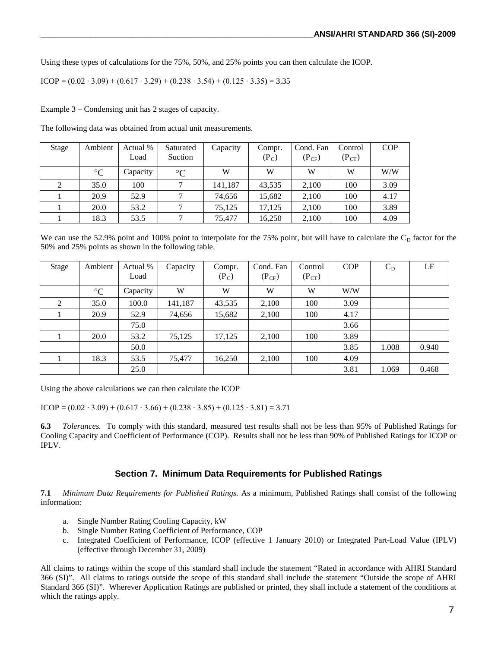Using these types of calculations for the 75%, 50%, and 25% points you can then calculate the ICOP.

$$
ICOP = (0.02 \cdot 3.09) + (0.617 \cdot 3.29) + (0.238 \cdot 3.54) + (0.125 \cdot 3.35) = 3.35
$$

Example 3 – Condensing unit has 2 stages of capacity.

The following data was obtained from actual unit measurements.

| Stage | Ambient         | Actual % | Saturated       | Capacity | Compr.  | Cond. Fan  | Control    | <b>COP</b> |
|-------|-----------------|----------|-----------------|----------|---------|------------|------------|------------|
|       |                 | Load     | Suction         |          | $(P_C)$ | $(P_{CF})$ | $(P_{CT})$ |            |
|       | $\rm ^{\circ}C$ | Capacity | $\rm ^{\circ}C$ | W        | W       | W          | W          | W/W        |
| 2     | 35.0            | 100      |                 | 141,187  | 43,535  | 2,100      | 100        | 3.09       |
|       | 20.9            | 52.9     |                 | 74,656   | 15,682  | 2,100      | 100        | 4.17       |
|       | 20.0            | 53.2     |                 | 75,125   | 17,125  | 2,100      | 100        | 3.89       |
|       | 18.3            | 53.5     |                 | 75.477   | 16,250  | 2,100      | 100        | 4.09       |

We can use the 52.9% point and 100% point to interpolate for the 75% point, but will have to calculate the  $C<sub>D</sub>$  factor for the 50% and 25% points as shown in the following table.

| Stage | Ambient         | Actual %<br>Load | Capacity | Compr.<br>$(P_C)$ | Cond. Fan<br>$(P_{CF})$ | Control<br>$(P_{CT})$ | <b>COP</b> | $C_D$ | LF    |
|-------|-----------------|------------------|----------|-------------------|-------------------------|-----------------------|------------|-------|-------|
|       | $\rm ^{\circ}C$ | Capacity         | W        | W                 | W                       | W                     | W/W        |       |       |
| 2     | 35.0            | 100.0            | 141,187  | 43,535            | 2,100                   | 100                   | 3.09       |       |       |
|       | 20.9            | 52.9             | 74,656   | 15,682            | 2,100                   | 100                   | 4.17       |       |       |
|       |                 | 75.0             |          |                   |                         |                       | 3.66       |       |       |
|       | 20.0            | 53.2             | 75,125   | 17,125            | 2,100                   | 100                   | 3.89       |       |       |
|       |                 | 50.0             |          |                   |                         |                       | 3.85       | 1.008 | 0.940 |
|       | 18.3            | 53.5             | 75,477   | 16,250            | 2,100                   | 100                   | 4.09       |       |       |
|       |                 | 25.0             |          |                   |                         |                       | 3.81       | 1.069 | 0.468 |

Using the above calculations we can then calculate the ICOP

ICOP =  $(0.02 \cdot 3.09) + (0.617 \cdot 3.66) + (0.238 \cdot 3.85) + (0.125 \cdot 3.81) = 3.71$ 

**6.3** *Tolerances.* To comply with this standard, measured test results shall not be less than 95% of Published Ratings for Cooling Capacity and Coefficient of Performance (COP). Results shall not be less than 90% of Published Ratings for ICOP or IPLV.

#### **Section 7. Minimum Data Requirements for Published Ratings**

**7.1** *Minimum Data Requirements for Published Ratings.* As a minimum, Published Ratings shall consist of the following information:

- a. Single Number Rating Cooling Capacity, kW
- b. Single Number Rating Coefficient of Performance, COP
- c. Integrated Coefficient of Performance, ICOP (effective 1 January 2010) or Integrated Part-Load Value (IPLV) (effective through December 31, 2009)

All claims to ratings within the scope of this standard shall include the statement "Rated in accordance with AHRI Standard 366 (SI)". All claims to ratings outside the scope of this standard shall include the statement "Outside the scope of AHRI Standard 366 (SI)". Wherever Application Ratings are published or printed, they shall include a statement of the conditions at which the ratings apply.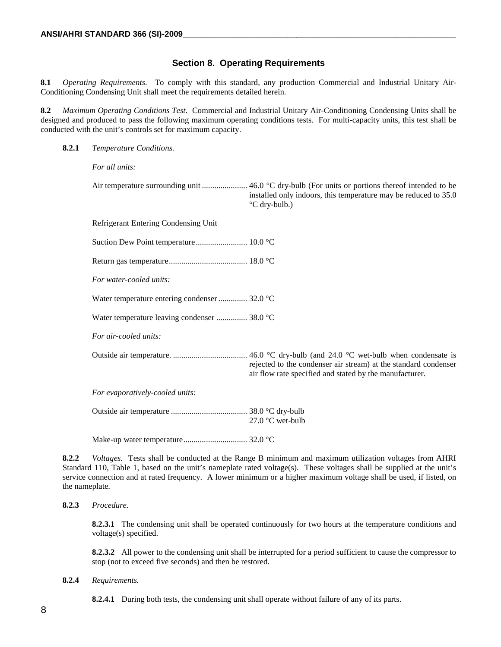#### **Section 8. Operating Requirements**

**8.1** *Operating Requirements*. To comply with this standard, any production Commercial and Industrial Unitary Air-Conditioning Condensing Unit shall meet the requirements detailed herein.

**8.2** *Maximum Operating Conditions Test*. Commercial and Industrial Unitary Air-Conditioning Condensing Units shall be designed and produced to pass the following maximum operating conditions tests. For multi-capacity units, this test shall be conducted with the unit's controls set for maximum capacity.

#### **8.2.1** *Temperature Conditions.*

*For all units:*

Air temperature surrounding unit ......................... 46.0 °C dry-bulb (For units or portions thereof intended to be installed only indoors, this temperature may be reduced to 35.0 °C dry-bulb.)

Refrigerant Entering Condensing Unit

Suction Dew Point temperature......................... 10.0 °C

Return gas temperature...................................... 18.0 °C

*For water-cooled units:*

Water temperature entering condenser.............. 32.0 °C

Water temperature leaving condenser ............... 38.0 °C

*For air-cooled units:*

Outside air temperature. .................................... 46.0 °C dry-bulb (and 24.0 °C wet-bulb when condensate is rejected to the condenser air stream) at the standard condenser air flow rate specified and stated by the manufacturer.

*For evaporatively-cooled units:*

Outside air temperature ..................................... 38.0 °C dry-bulb 27.0 °C wet-bulb

Make-up water temperature............................... 32.0 °C

**8.2.2** *Voltages.* Tests shall be conducted at the Range B minimum and maximum utilization voltages from AHRI Standard 110, Table 1, based on the unit's nameplate rated voltage(s). These voltages shall be supplied at the unit's service connection and at rated frequency. A lower minimum or a higher maximum voltage shall be used, if listed, on the nameplate.

#### **8.2.3** *Procedure.*

**8.2.3.1** The condensing unit shall be operated continuously for two hours at the temperature conditions and voltage(s) specified.

**8.2.3.2** All power to the condensing unit shall be interrupted for a period sufficient to cause the compressor to stop (not to exceed five seconds) and then be restored.

#### **8.2.4** *Requirements.*

**8.2.4.1** During both tests, the condensing unit shall operate without failure of any of its parts.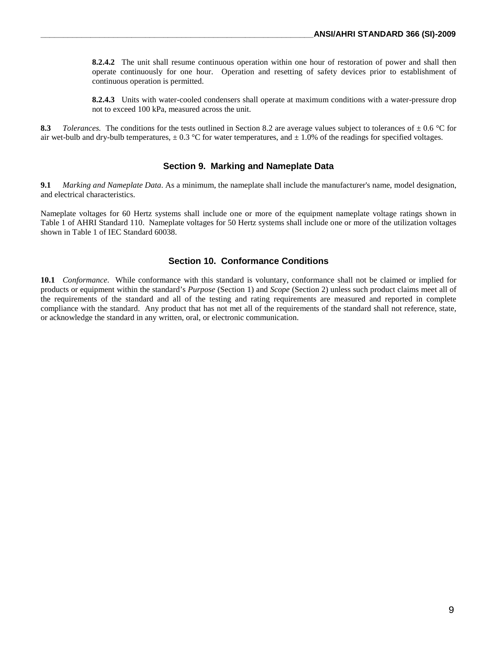**8.2.4.2** The unit shall resume continuous operation within one hour of restoration of power and shall then operate continuously for one hour. Operation and resetting of safety devices prior to establishment of continuous operation is permitted.

**8.2.4.3** Units with water-cooled condensers shall operate at maximum conditions with a water-pressure drop not to exceed 100 kPa, measured across the unit.

**8.3** *Tolerances.* The conditions for the tests outlined in Section 8.2 are average values subject to tolerances of  $\pm$  0.6 °C for air wet-bulb and dry-bulb temperatures,  $\pm 0.3$  °C for water temperatures, and  $\pm 1.0$ % of the readings for specified voltages.

#### **Section 9. Marking and Nameplate Data**

**9.1** *Marking and Nameplate Data*. As a minimum, the nameplate shall include the manufacturer's name, model designation, and electrical characteristics.

Nameplate voltages for 60 Hertz systems shall include one or more of the equipment nameplate voltage ratings shown in Table 1 of AHRI Standard 110. Nameplate voltages for 50 Hertz systems shall include one or more of the utilization voltages shown in Table 1 of IEC Standard 60038.

#### **Section 10. Conformance Conditions**

**10.1** *Conformance*. While conformance with this standard is voluntary, conformance shall not be claimed or implied for products or equipment within the standard's *Purpose* (Section 1) and *Scope* (Section 2) unless such product claims meet all of the requirements of the standard and all of the testing and rating requirements are measured and reported in complete compliance with the standard. Any product that has not met all of the requirements of the standard shall not reference, state, or acknowledge the standard in any written, oral, or electronic communication.